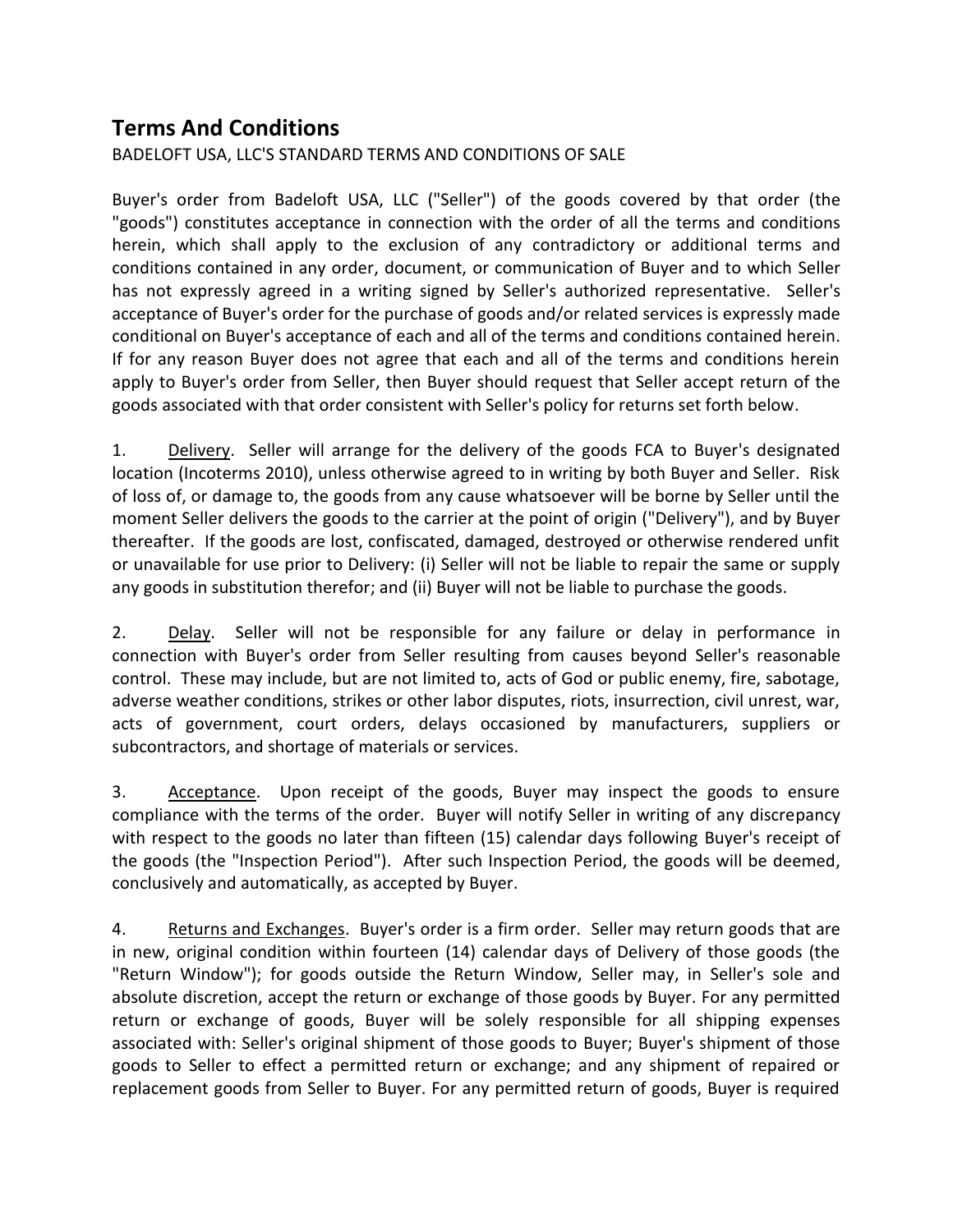## **Terms And Conditions**

BADELOFT USA, LLC'S STANDARD TERMS AND CONDITIONS OF SALE

Buyer's order from Badeloft USA, LLC ("Seller") of the goods covered by that order (the "goods") constitutes acceptance in connection with the order of all the terms and conditions herein, which shall apply to the exclusion of any contradictory or additional terms and conditions contained in any order, document, or communication of Buyer and to which Seller has not expressly agreed in a writing signed by Seller's authorized representative. Seller's acceptance of Buyer's order for the purchase of goods and/or related services is expressly made conditional on Buyer's acceptance of each and all of the terms and conditions contained herein. If for any reason Buyer does not agree that each and all of the terms and conditions herein apply to Buyer's order from Seller, then Buyer should request that Seller accept return of the goods associated with that order consistent with Seller's policy for returns set forth below.

1. Delivery. Seller will arrange for the delivery of the goods FCA to Buyer's designated location (Incoterms 2010), unless otherwise agreed to in writing by both Buyer and Seller. Risk of loss of, or damage to, the goods from any cause whatsoever will be borne by Seller until the moment Seller delivers the goods to the carrier at the point of origin ("Delivery"), and by Buyer thereafter. If the goods are lost, confiscated, damaged, destroyed or otherwise rendered unfit or unavailable for use prior to Delivery: (i) Seller will not be liable to repair the same or supply any goods in substitution therefor; and (ii) Buyer will not be liable to purchase the goods.

2. Delay. Seller will not be responsible for any failure or delay in performance in connection with Buyer's order from Seller resulting from causes beyond Seller's reasonable control. These may include, but are not limited to, acts of God or public enemy, fire, sabotage, adverse weather conditions, strikes or other labor disputes, riots, insurrection, civil unrest, war, acts of government, court orders, delays occasioned by manufacturers, suppliers or subcontractors, and shortage of materials or services.

3. Acceptance. Upon receipt of the goods, Buyer may inspect the goods to ensure compliance with the terms of the order. Buyer will notify Seller in writing of any discrepancy with respect to the goods no later than fifteen (15) calendar days following Buyer's receipt of the goods (the "Inspection Period"). After such Inspection Period, the goods will be deemed, conclusively and automatically, as accepted by Buyer.

4. Returns and Exchanges. Buyer's order is a firm order. Seller may return goods that are in new, original condition within fourteen (14) calendar days of Delivery of those goods (the "Return Window"); for goods outside the Return Window, Seller may, in Seller's sole and absolute discretion, accept the return or exchange of those goods by Buyer. For any permitted return or exchange of goods, Buyer will be solely responsible for all shipping expenses associated with: Seller's original shipment of those goods to Buyer; Buyer's shipment of those goods to Seller to effect a permitted return or exchange; and any shipment of repaired or replacement goods from Seller to Buyer. For any permitted return of goods, Buyer is required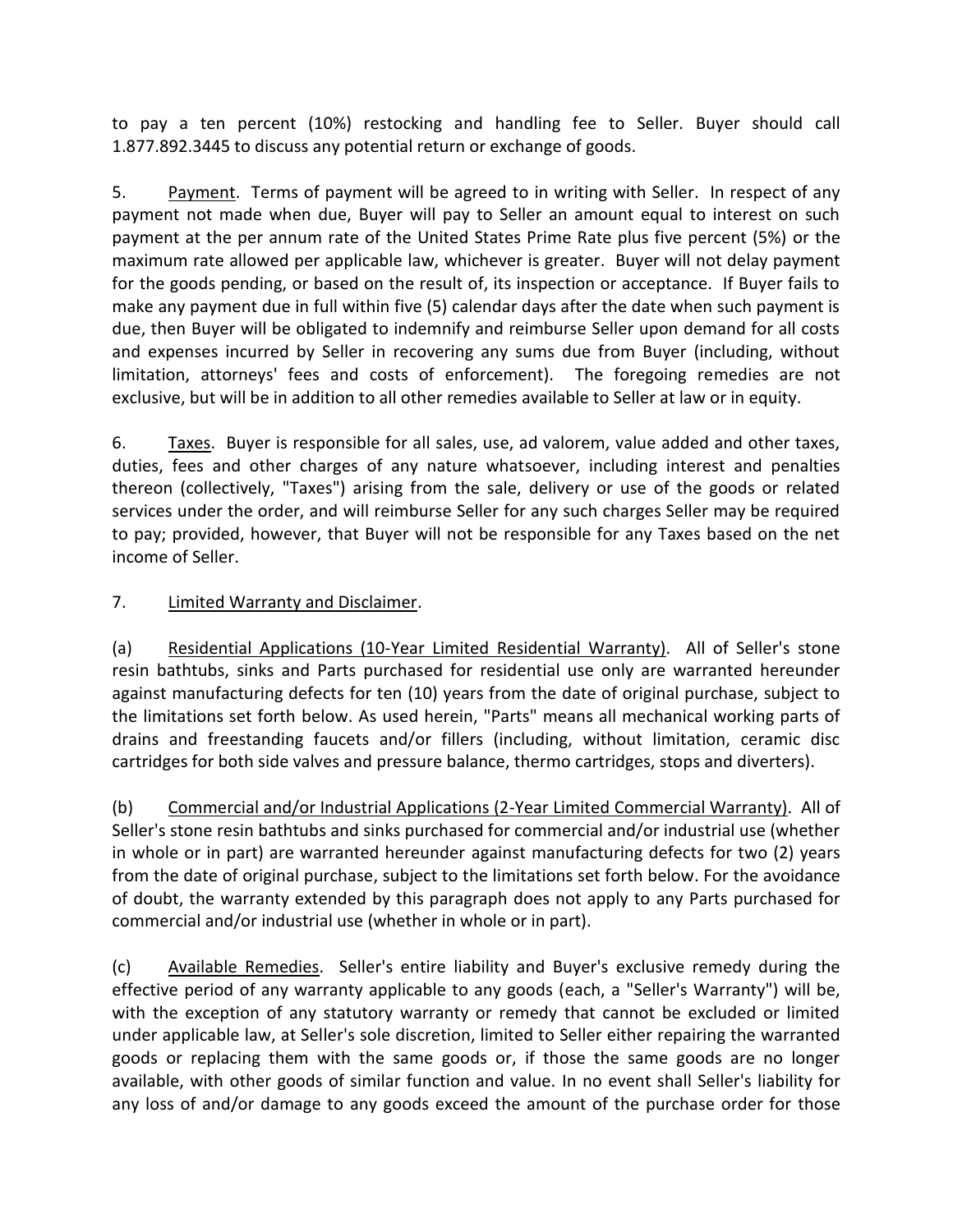to pay a ten percent (10%) restocking and handling fee to Seller. Buyer should call 1.877.892.3445 to discuss any potential return or exchange of goods.

5. Payment. Terms of payment will be agreed to in writing with Seller. In respect of any payment not made when due, Buyer will pay to Seller an amount equal to interest on such payment at the per annum rate of the United States Prime Rate plus five percent (5%) or the maximum rate allowed per applicable law, whichever is greater. Buyer will not delay payment for the goods pending, or based on the result of, its inspection or acceptance. If Buyer fails to make any payment due in full within five (5) calendar days after the date when such payment is due, then Buyer will be obligated to indemnify and reimburse Seller upon demand for all costs and expenses incurred by Seller in recovering any sums due from Buyer (including, without limitation, attorneys' fees and costs of enforcement). The foregoing remedies are not exclusive, but will be in addition to all other remedies available to Seller at law or in equity.

6. Taxes. Buyer is responsible for all sales, use, ad valorem, value added and other taxes, duties, fees and other charges of any nature whatsoever, including interest and penalties thereon (collectively, "Taxes") arising from the sale, delivery or use of the goods or related services under the order, and will reimburse Seller for any such charges Seller may be required to pay; provided, however, that Buyer will not be responsible for any Taxes based on the net income of Seller.

## 7. Limited Warranty and Disclaimer.

(a) Residential Applications (10-Year Limited Residential Warranty). All of Seller's stone resin bathtubs, sinks and Parts purchased for residential use only are warranted hereunder against manufacturing defects for ten (10) years from the date of original purchase, subject to the limitations set forth below. As used herein, "Parts" means all mechanical working parts of drains and freestanding faucets and/or fillers (including, without limitation, ceramic disc cartridges for both side valves and pressure balance, thermo cartridges, stops and diverters).

(b) Commercial and/or Industrial Applications (2-Year Limited Commercial Warranty). All of Seller's stone resin bathtubs and sinks purchased for commercial and/or industrial use (whether in whole or in part) are warranted hereunder against manufacturing defects for two (2) years from the date of original purchase, subject to the limitations set forth below. For the avoidance of doubt, the warranty extended by this paragraph does not apply to any Parts purchased for commercial and/or industrial use (whether in whole or in part).

(c) Available Remedies. Seller's entire liability and Buyer's exclusive remedy during the effective period of any warranty applicable to any goods (each, a "Seller's Warranty") will be, with the exception of any statutory warranty or remedy that cannot be excluded or limited under applicable law, at Seller's sole discretion, limited to Seller either repairing the warranted goods or replacing them with the same goods or, if those the same goods are no longer available, with other goods of similar function and value. In no event shall Seller's liability for any loss of and/or damage to any goods exceed the amount of the purchase order for those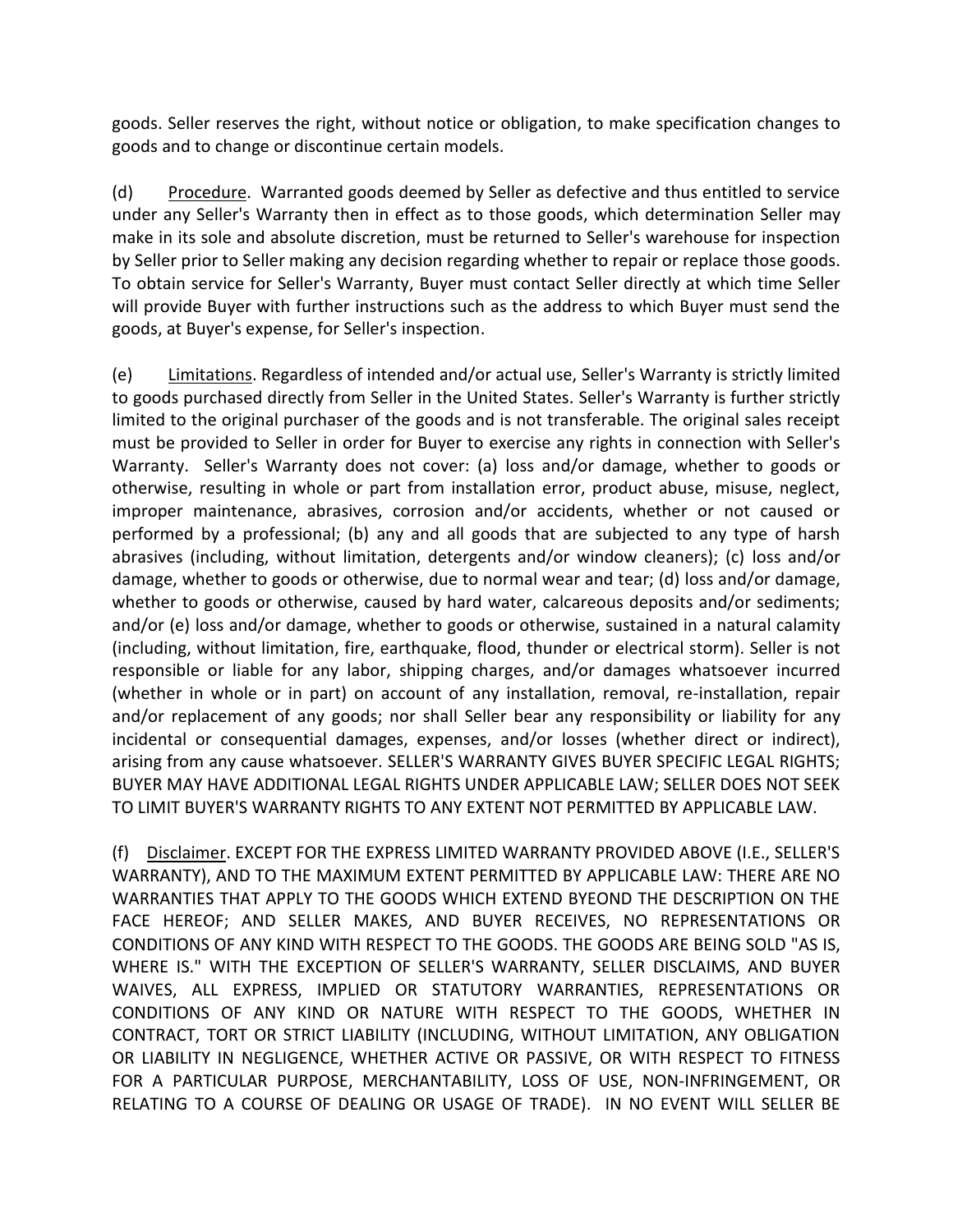goods. Seller reserves the right, without notice or obligation, to make specification changes to goods and to change or discontinue certain models.

(d) Procedure. Warranted goods deemed by Seller as defective and thus entitled to service under any Seller's Warranty then in effect as to those goods, which determination Seller may make in its sole and absolute discretion, must be returned to Seller's warehouse for inspection by Seller prior to Seller making any decision regarding whether to repair or replace those goods. To obtain service for Seller's Warranty, Buyer must contact Seller directly at which time Seller will provide Buyer with further instructions such as the address to which Buyer must send the goods, at Buyer's expense, for Seller's inspection.

(e) Limitations. Regardless of intended and/or actual use, Seller's Warranty is strictly limited to goods purchased directly from Seller in the United States. Seller's Warranty is further strictly limited to the original purchaser of the goods and is not transferable. The original sales receipt must be provided to Seller in order for Buyer to exercise any rights in connection with Seller's Warranty. Seller's Warranty does not cover: (a) loss and/or damage, whether to goods or otherwise, resulting in whole or part from installation error, product abuse, misuse, neglect, improper maintenance, abrasives, corrosion and/or accidents, whether or not caused or performed by a professional; (b) any and all goods that are subjected to any type of harsh abrasives (including, without limitation, detergents and/or window cleaners); (c) loss and/or damage, whether to goods or otherwise, due to normal wear and tear; (d) loss and/or damage, whether to goods or otherwise, caused by hard water, calcareous deposits and/or sediments; and/or (e) loss and/or damage, whether to goods or otherwise, sustained in a natural calamity (including, without limitation, fire, earthquake, flood, thunder or electrical storm). Seller is not responsible or liable for any labor, shipping charges, and/or damages whatsoever incurred (whether in whole or in part) on account of any installation, removal, re-installation, repair and/or replacement of any goods; nor shall Seller bear any responsibility or liability for any incidental or consequential damages, expenses, and/or losses (whether direct or indirect), arising from any cause whatsoever. SELLER'S WARRANTY GIVES BUYER SPECIFIC LEGAL RIGHTS; BUYER MAY HAVE ADDITIONAL LEGAL RIGHTS UNDER APPLICABLE LAW; SELLER DOES NOT SEEK TO LIMIT BUYER'S WARRANTY RIGHTS TO ANY EXTENT NOT PERMITTED BY APPLICABLE LAW.

(f) Disclaimer. EXCEPT FOR THE EXPRESS LIMITED WARRANTY PROVIDED ABOVE (I.E., SELLER'S WARRANTY), AND TO THE MAXIMUM EXTENT PERMITTED BY APPLICABLE LAW: THERE ARE NO WARRANTIES THAT APPLY TO THE GOODS WHICH EXTEND BYEOND THE DESCRIPTION ON THE FACE HEREOF; AND SELLER MAKES, AND BUYER RECEIVES, NO REPRESENTATIONS OR CONDITIONS OF ANY KIND WITH RESPECT TO THE GOODS. THE GOODS ARE BEING SOLD "AS IS, WHERE IS." WITH THE EXCEPTION OF SELLER'S WARRANTY, SELLER DISCLAIMS, AND BUYER WAIVES, ALL EXPRESS, IMPLIED OR STATUTORY WARRANTIES, REPRESENTATIONS OR CONDITIONS OF ANY KIND OR NATURE WITH RESPECT TO THE GOODS, WHETHER IN CONTRACT, TORT OR STRICT LIABILITY (INCLUDING, WITHOUT LIMITATION, ANY OBLIGATION OR LIABILITY IN NEGLIGENCE, WHETHER ACTIVE OR PASSIVE, OR WITH RESPECT TO FITNESS FOR A PARTICULAR PURPOSE, MERCHANTABILITY, LOSS OF USE, NON-INFRINGEMENT, OR RELATING TO A COURSE OF DEALING OR USAGE OF TRADE). IN NO EVENT WILL SELLER BE